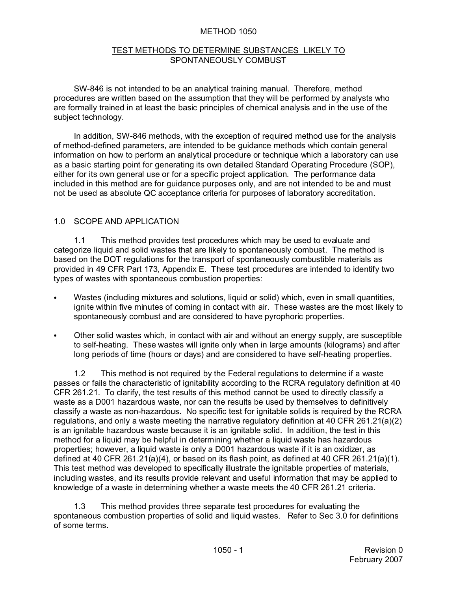#### METHOD 1050

#### TEST METHODS TO DETERMINE SUBSTANCES LIKELY TO SPONTANEOUSLY COMBUST

SW-846 is not intended to be an analytical training manual. Therefore, method procedures are written based on the assumption that they will be performed by analysts who are formally trained in at least the basic principles of chemical analysis and in the use of the subject technology.

In addition, SW-846 methods, with the exception of required method use for the analysis of method-defined parameters, are intended to be guidance methods which contain general information on how to perform an analytical procedure or technique which a laboratory can use as a basic starting point for generating its own detailed Standard Operating Procedure (SOP), either for its own general use or for a specific project application. The performance data included in this method are for guidance purposes only, and are not intended to be and must not be used as absolute QC acceptance criteria for purposes of laboratory accreditation.

#### 1.0 SCOPE AND APPLICATION

1.1 This method provides test procedures which may be used to evaluate and categorize liquid and solid wastes that are likely to spontaneously combust. The method is based on the DOT regulations for the transport of spontaneously combustible materials as provided in 49 CFR Part 173, Appendix E. These test procedures are intended to identify two types of wastes with spontaneous combustion properties:

- Wastes (including mixtures and solutions, liquid or solid) which, even in small quantities, ignite within five minutes of coming in contact with air. These wastes are the most likely to spontaneously combust and are considered to have pyrophoric properties.
- Other solid wastes which, in contact with air and without an energy supply, are susceptible to self-heating. These wastes will ignite only when in large amounts (kilograms) and after long periods of time (hours or days) and are considered to have self-heating properties.

1.2 This method is not required by the Federal regulations to determine if a waste passes or fails the characteristic of ignitability according to the RCRA regulatory definition at 40 CFR 261.21. To clarify, the test results of this method cannot be used to directly classify a waste as a D001 hazardous waste, nor can the results be used by themselves to definitively classify a waste as non-hazardous. No specific test for ignitable solids is required by the RCRA regulations, and only a waste meeting the narrative regulatory definition at 40 CFR 261.21(a)(2) is an ignitable hazardous waste because it is an ignitable solid. In addition, the test in this method for a liquid may be helpful in determining whether a liquid waste has hazardous properties; however, a liquid waste is only a D001 hazardous waste if it is an oxidizer, as defined at 40 CFR 261.21(a)(4), or based on its flash point, as defined at 40 CFR 261.21(a)(1). This test method was developed to specifically illustrate the ignitable properties of materials, including wastes, and its results provide relevant and useful information that may be applied to knowledge of a waste in determining whether a waste meets the 40 CFR 261.21 criteria.

1.3 This method provides three separate test procedures for evaluating the spontaneous combustion properties of solid and liquid wastes. Refer to Sec 3.0 for definitions of some terms.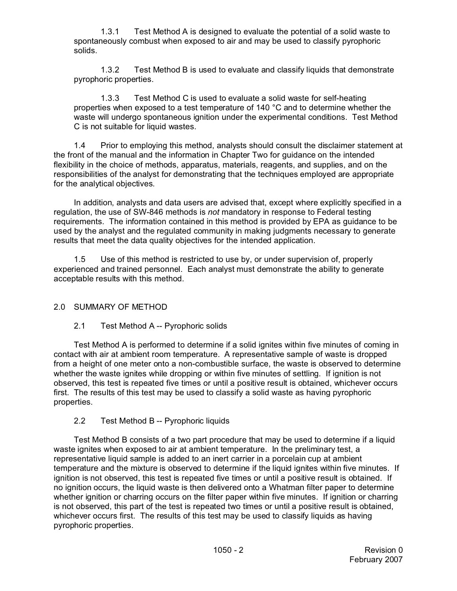1.3.1 Test Method A is designed to evaluate the potential of a solid waste to spontaneously combust when exposed to air and may be used to classify pyrophoric solids.

1.3.2 Test Method B is used to evaluate and classify liquids that demonstrate pyrophoric properties.

1.3.3 Test Method C is used to evaluate a solid waste for self-heating properties when exposed to a test temperature of 140 °C and to determine whether the waste will undergo spontaneous ignition under the experimental conditions. Test Method C is not suitable for liquid wastes.

1.4 Prior to employing this method, analysts should consult the disclaimer statement at the front of the manual and the information in Chapter Two for guidance on the intended flexibility in the choice of methods, apparatus, materials, reagents, and supplies, and on the responsibilities of the analyst for demonstrating that the techniques employed are appropriate for the analytical objectives.

In addition, analysts and data users are advised that, except where explicitly specified in a regulation, the use of SW-846 methods is *not* mandatory in response to Federal testing requirements. The information contained in this method is provided by EPA as guidance to be used by the analyst and the regulated community in making judgments necessary to generate results that meet the data quality objectives for the intended application.

1.5 Use of this method is restricted to use by, or under supervision of, properly experienced and trained personnel. Each analyst must demonstrate the ability to generate acceptable results with this method.

## 2.0 SUMMARY OF METHOD

## 2.1 Test Method A -- Pyrophoric solids

Test Method A is performed to determine if a solid ignites within five minutes of coming in contact with air at ambient room temperature. A representative sample of waste is dropped from a height of one meter onto a non-combustible surface, the waste is observed to determine whether the waste ignites while dropping or within five minutes of settling. If ignition is not observed, this test is repeated five times or until a positive result is obtained, whichever occurs first. The results of this test may be used to classify a solid waste as having pyrophoric properties.

## 2.2 Test Method B -- Pyrophoric liquids

Test Method B consists of a two part procedure that may be used to determine if a liquid waste ignites when exposed to air at ambient temperature. In the preliminary test, a representative liquid sample is added to an inert carrier in a porcelain cup at ambient temperature and the mixture is observed to determine if the liquid ignites within five minutes. If ignition is not observed, this test is repeated five times or until a positive result is obtained. If no ignition occurs, the liquid waste is then delivered onto a Whatman filter paper to determine whether ignition or charring occurs on the filter paper within five minutes. If ignition or charring is not observed, this part of the test is repeated two times or until a positive result is obtained, whichever occurs first. The results of this test may be used to classify liquids as having pyrophoric properties.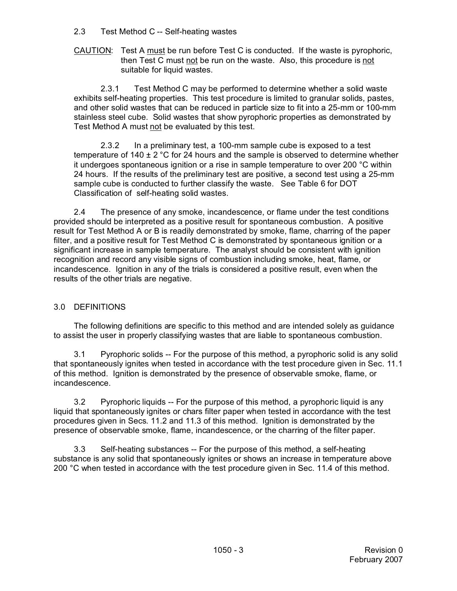#### 2.3 Test Method C -- Self-heating wastes

CAUTION: Test A must be run before Test C is conducted. If the waste is pyrophoric, then Test C must not be run on the waste. Also, this procedure is not suitable for liquid wastes.

2.3.1 Test Method C may be performed to determine whether a solid waste exhibits self-heating properties. This test procedure is limited to granular solids, pastes, and other solid wastes that can be reduced in particle size to fit into a 25-mm or 100-mm stainless steel cube. Solid wastes that show pyrophoric properties as demonstrated by Test Method A must not be evaluated by this test.

2.3.2 In a preliminary test, a 100-mm sample cube is exposed to a test temperature of 140  $\pm$  2 °C for 24 hours and the sample is observed to determine whether it undergoes spontaneous ignition or a rise in sample temperature to over 200 °C within 24 hours. If the results of the preliminary test are positive, a second test using a 25-mm sample cube is conducted to further classify the waste. See Table 6 for DOT Classification of self-heating solid wastes.

2.4 The presence of any smoke, incandescence, or flame under the test conditions provided should be interpreted as a positive result for spontaneous combustion. A positive result for Test Method A or B is readily demonstrated by smoke, flame, charring of the paper filter, and a positive result for Test Method C is demonstrated by spontaneous ignition or a significant increase in sample temperature. The analyst should be consistent with ignition recognition and record any visible signs of combustion including smoke, heat, flame, or incandescence. Ignition in any of the trials is considered a positive result, even when the results of the other trials are negative.

## 3.0 DEFINITIONS

The following definitions are specific to this method and are intended solely as guidance to assist the user in properly classifying wastes that are liable to spontaneous combustion.

3.1 Pyrophoric solids -- For the purpose of this method, a pyrophoric solid is any solid that spontaneously ignites when tested in accordance with the test procedure given in Sec. 11.1 of this method. Ignition is demonstrated by the presence of observable smoke, flame, or incandescence.

3.2 Pyrophoric liquids -- For the purpose of this method, a pyrophoric liquid is any liquid that spontaneously ignites or chars filter paper when tested in accordance with the test procedures given in Secs. 11.2 and 11.3 of this method. Ignition is demonstrated by the presence of observable smoke, flame, incandescence, or the charring of the filter paper.

3.3 Self-heating substances -- For the purpose of this method, a self-heating substance is any solid that spontaneously ignites or shows an increase in temperature above 200 °C when tested in accordance with the test procedure given in Sec. 11.4 of this method.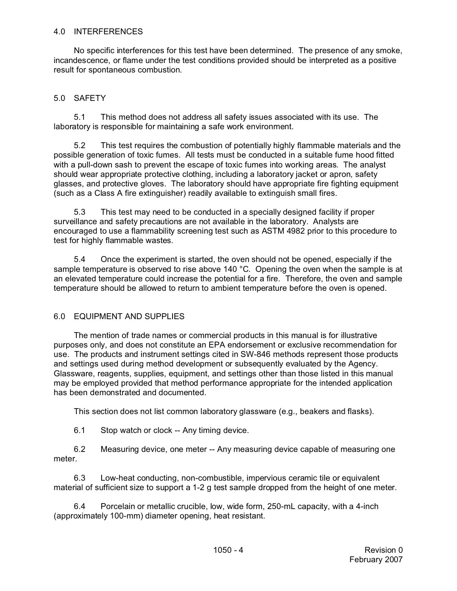#### 4.0 INTERFERENCES

No specific interferences for this test have been determined. The presence of any smoke, incandescence, or flame under the test conditions provided should be interpreted as a positive result for spontaneous combustion.

## 5.0 SAFETY

5.1 This method does not address all safety issues associated with its use. The laboratory is responsible for maintaining a safe work environment.

5.2 This test requires the combustion of potentially highly flammable materials and the possible generation of toxic fumes. All tests must be conducted in a suitable fume hood fitted with a pull-down sash to prevent the escape of toxic fumes into working areas. The analyst should wear appropriate protective clothing, including a laboratory jacket or apron, safety glasses, and protective gloves. The laboratory should have appropriate fire fighting equipment (such as a Class A fire extinguisher) readily available to extinguish small fires.

5.3 This test may need to be conducted in a specially designed facility if proper surveillance and safety precautions are not available in the laboratory. Analysts are encouraged to use a flammability screening test such as ASTM 4982 prior to this procedure to test for highly flammable wastes.

5.4 Once the experiment is started, the oven should not be opened, especially if the sample temperature is observed to rise above 140 °C. Opening the oven when the sample is at an elevated temperature could increase the potential for a fire. Therefore, the oven and sample temperature should be allowed to return to ambient temperature before the oven is opened.

## 6.0 EQUIPMENT AND SUPPLIES

The mention of trade names or commercial products in this manual is for illustrative purposes only, and does not constitute an EPA endorsement or exclusive recommendation for use. The products and instrument settings cited in SW-846 methods represent those products and settings used during method development or subsequently evaluated by the Agency. Glassware, reagents, supplies, equipment, and settings other than those listed in this manual may be employed provided that method performance appropriate for the intended application has been demonstrated and documented.

This section does not list common laboratory glassware (e.g., beakers and flasks).

6.1 Stop watch or clock -- Any timing device.

6.2 Measuring device, one meter -- Any measuring device capable of measuring one meter.

6.3 Low-heat conducting, non-combustible, impervious ceramic tile or equivalent material of sufficient size to support a 1-2 g test sample dropped from the height of one meter.

6.4 Porcelain or metallic crucible, low, wide form, 250-mL capacity, with a 4-inch (approximately 100-mm) diameter opening, heat resistant.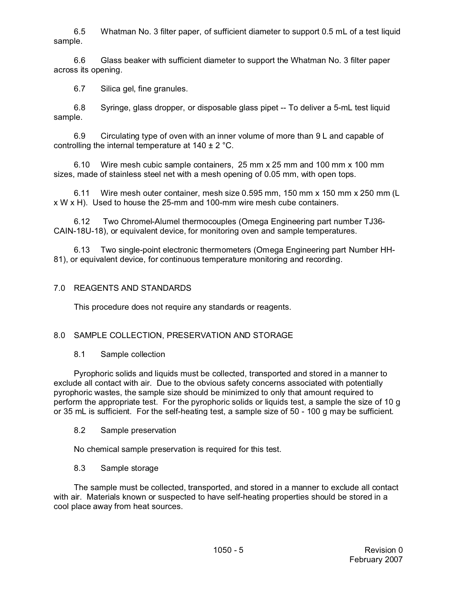6.5 Whatman No. 3 filter paper, of sufficient diameter to support 0.5 mL of a test liquid sample.

6.6 Glass beaker with sufficient diameter to support the Whatman No. 3 filter paper across its opening.

6.7 Silica gel, fine granules.

6.8 Syringe, glass dropper, or disposable glass pipet -- To deliver a 5-mL test liquid sample.

6.9 Circulating type of oven with an inner volume of more than 9 L and capable of controlling the internal temperature at 140 ± 2 °C.

6.10 Wire mesh cubic sample containers, 25 mm x 25 mm and 100 mm x 100 mm sizes, made of stainless steel net with a mesh opening of 0.05 mm, with open tops.

6.11 Wire mesh outer container, mesh size 0.595 mm, 150 mm x 150 mm x 250 mm (L x W x H). Used to house the 25-mm and 100-mm wire mesh cube containers.

6.12 Two Chromel-Alumel thermocouples (Omega Engineering part number TJ36- CAIN-18U-18), or equivalent device, for monitoring oven and sample temperatures.

Two single-point electronic thermometers (Omega Engineering part Number HH-81), or equivalent device, for continuous temperature monitoring and recording.

### 7.0 REAGENTS AND STANDARDS

This procedure does not require any standards or reagents.

## 8.0 SAMPLE COLLECTION, PRESERVATION AND STORAGE

#### 8.1 Sample collection

Pyrophoric solids and liquids must be collected, transported and stored in a manner to exclude all contact with air. Due to the obvious safety concerns associated with potentially pyrophoric wastes, the sample size should be minimized to only that amount required to perform the appropriate test. For the pyrophoric solids or liquids test, a sample the size of 10 g or 35 mL is sufficient. For the self-heating test, a sample size of 50 - 100 g may be sufficient.

#### 8.2 Sample preservation

No chemical sample preservation is required for this test.

#### 8.3 Sample storage

The sample must be collected, transported, and stored in a manner to exclude all contact with air. Materials known or suspected to have self-heating properties should be stored in a cool place away from heat sources.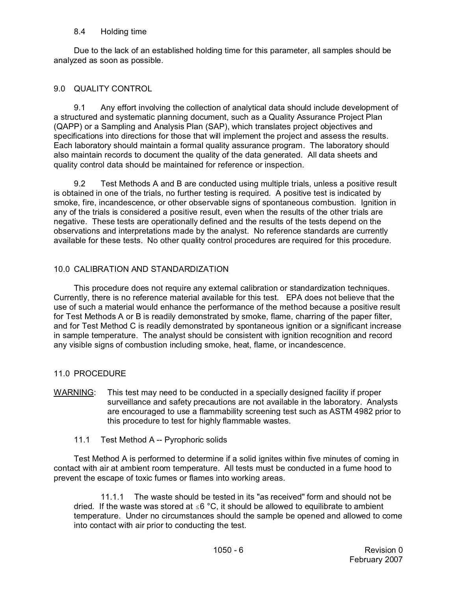#### 8.4 Holding time

Due to the lack of an established holding time for this parameter, all samples should be analyzed as soon as possible.

### 9.0 QUALITY CONTROL

9.1 Any effort involving the collection of analytical data should include development of a structured and systematic planning document, such as a Quality Assurance Project Plan (QAPP) or a Sampling and Analysis Plan (SAP), which translates project objectives and specifications into directions for those that will implement the project and assess the results. Each laboratory should maintain a formal quality assurance program. The laboratory should also maintain records to document the quality of the data generated. All data sheets and quality control data should be maintained for reference or inspection.

9.2 Test Methods A and B are conducted using multiple trials, unless a positive result is obtained in one of the trials, no further testing is required. A positive test is indicated by smoke, fire, incandescence, or other observable signs of spontaneous combustion. Ignition in any of the trials is considered a positive result, even when the results of the other trials are negative. These tests are operationally defined and the results of the tests depend on the observations and interpretations made by the analyst. No reference standards are currently available for these tests. No other quality control procedures are required for this procedure.

### 10.0 CALIBRATION AND STANDARDIZATION

This procedure does not require any external calibration or standardization techniques. Currently, there is no reference material available for this test. EPA does not believe that the use of such a material would enhance the performance of the method because a positive result for Test Methods A or B is readily demonstrated by smoke, flame, charring of the paper filter, and for Test Method C is readily demonstrated by spontaneous ignition or a significant increase in sample temperature. The analyst should be consistent with ignition recognition and record any visible signs of combustion including smoke, heat, flame, or incandescence.

## 11.0 PROCEDURE

- WARNING: This test may need to be conducted in a specially designed facility if proper surveillance and safety precautions are not available in the laboratory. Analysts are encouraged to use a flammability screening test such as ASTM 4982 prior to this procedure to test for highly flammable wastes.
	- 11.1 Test Method A -- Pyrophoric solids

Test Method A is performed to determine if a solid ignites within five minutes of coming in contact with air at ambient room temperature. All tests must be conducted in a fume hood to prevent the escape of toxic fumes or flames into working areas.

11.1.1 The waste should be tested in its "as received" form and should not be dried. If the waste was stored at  $\leq 6$  °C, it should be allowed to equilibrate to ambient temperature. Under no circumstances should the sample be opened and allowed to come into contact with air prior to conducting the test.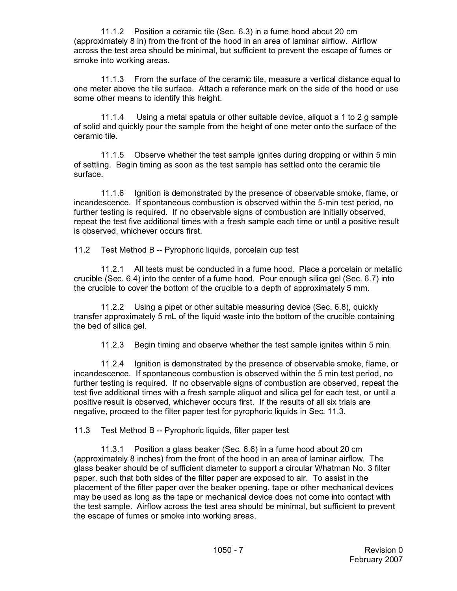11.1.2 Position a ceramic tile (Sec. 6.3) in a fume hood about 20 cm (approximately 8 in) from the front of the hood in an area of laminar airflow. Airflow across the test area should be minimal, but sufficient to prevent the escape of fumes or smoke into working areas.

11.1.3 From the surface of the ceramic tile, measure a vertical distance equal to one meter above the tile surface. Attach a reference mark on the side of the hood or use some other means to identify this height.

11.1.4 Using a metal spatula or other suitable device, aliquot a 1 to 2 g sample of solid and quickly pour the sample from the height of one meter onto the surface of the ceramic tile.

11.1.5 Observe whether the test sample ignites during dropping or within 5 min of settling. Begin timing as soon as the test sample has settled onto the ceramic tile surface.

11.1.6 Ignition is demonstrated by the presence of observable smoke, flame, or incandescence. If spontaneous combustion is observed within the 5-min test period, no further testing is required. If no observable signs of combustion are initially observed, repeat the test five additional times with a fresh sample each time or until a positive result is observed, whichever occurs first.

11.2 Test Method B -- Pyrophoric liquids, porcelain cup test

11.2.1 All tests must be conducted in a fume hood. Place a porcelain or metallic crucible (Sec. 6.4) into the center of a fume hood. Pour enough silica gel (Sec. 6.7) into the crucible to cover the bottom of the crucible to a depth of approximately 5 mm.

11.2.2 Using a pipet or other suitable measuring device (Sec. 6.8), quickly transfer approximately 5 mL of the liquid waste into the bottom of the crucible containing the bed of silica gel.

11.2.3 Begin timing and observe whether the test sample ignites within 5 min.

11.2.4 Ignition is demonstrated by the presence of observable smoke, flame, or incandescence. If spontaneous combustion is observed within the 5 min test period, no further testing is required. If no observable signs of combustion are observed, repeat the test five additional times with a fresh sample aliquot and silica gel for each test, or until a positive result is observed, whichever occurs first. If the results of all six trials are negative, proceed to the filter paper test for pyrophoric liquids in Sec. 11.3.

11.3 Test Method B -- Pyrophoric liquids, filter paper test

11.3.1 Position a glass beaker (Sec. 6.6) in a fume hood about 20 cm (approximately 8 inches) from the front of the hood in an area of laminar airflow. The glass beaker should be of sufficient diameter to support a circular Whatman No. 3 filter paper, such that both sides of the filter paper are exposed to air. To assist in the placement of the filter paper over the beaker opening, tape or other mechanical devices may be used as long as the tape or mechanical device does not come into contact with the test sample. Airflow across the test area should be minimal, but sufficient to prevent the escape of fumes or smoke into working areas.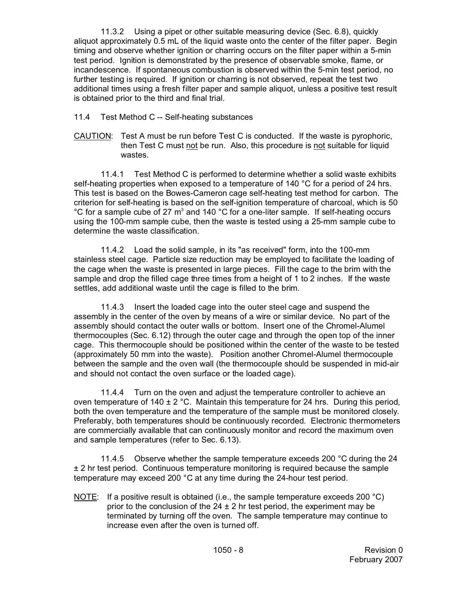11.3.2 Using a pipet or other suitable measuring device (Sec. 6.8), quickly aliquot approximately 0.5 mL of the liquid waste onto the center of the filter paper. Begin timing and observe whether ignition or charring occurs on the filter paper within a 5-min test period. Ignition is demonstrated by the presence of observable smoke, flame, or incandescence. If spontaneous combustion is observed within the 5-min test period, no further testing is required. If ignition or charring is not observed, repeat the test two additional times using a fresh filter paper and sample aliquot, unless a positive test result is obtained prior to the third and final trial.

11.4 Test Method C -- Self-heating substances

CAUTION: Test A must be run before Test C is conducted. If the waste is pyrophoric, then Test C must not be run. Also, this procedure is not suitable for liquid wastes.

11.4.1 Test Method C is performed to determine whether a solid waste exhibits self-heating properties when exposed to a temperature of 140 °C for a period of 24 hrs. This test is based on the Bowes-Cameron cage self-heating test method for carbon. The criterion for self-heating is based on the self-ignition temperature of charcoal, which is 50  $\rm{^{\circ}C}$  for a sample cube of 27 m<sup>3</sup> and 140  $\rm{^{\circ}C}$  for a one-liter sample. If self-heating occurs using the 100-mm sample cube, then the waste is tested using a 25-mm sample cube to determine the waste classification.

11.4.2 Load the solid sample, in its "as received" form, into the 100-mm stainless steel cage. Particle size reduction may be employed to facilitate the loading of the cage when the waste is presented in large pieces. Fill the cage to the brim with the sample and drop the filled cage three times from a height of 1 to 2 inches. If the waste settles, add additional waste until the cage is filled to the brim.

11.4.3 Insert the loaded cage into the outer steel cage and suspend the assembly in the center of the oven by means of a wire or similar device. No part of the assembly should contact the outer walls or bottom. Insert one of the Chromel-Alumel thermocouples (Sec. 6.12) through the outer cage and through the open top of the inner cage. This thermocouple should be positioned within the center of the waste to be tested (approximately 50 mm into the waste). Position another Chromel-Alumel thermocouple between the sample and the oven wall (the thermocouple should be suspended in mid-air and should not contact the oven surface or the loaded cage).

11.4.4 Turn on the oven and adjust the temperature controller to achieve an oven temperature of  $140 \pm 2$  °C. Maintain this temperature for 24 hrs. During this period, both the oven temperature and the temperature of the sample must be monitored closely. Preferably, both temperatures should be continuously recorded. Electronic thermometers are commercially available that can continuously monitor and record the maximum oven and sample temperatures (refer to Sec. 6.13).

11.4.5 Observe whether the sample temperature exceeds 200 °C during the 24 ± 2 hr test period. Continuous temperature monitoring is required because the sample temperature may exceed 200 °C at any time during the 24-hour test period.

NOTE: If a positive result is obtained (i.e., the sample temperature exceeds 200  $^{\circ}$ C) prior to the conclusion of the  $24 \pm 2$  hr test period, the experiment may be terminated by turning off the oven. The sample temperature may continue to increase even after the oven is turned off.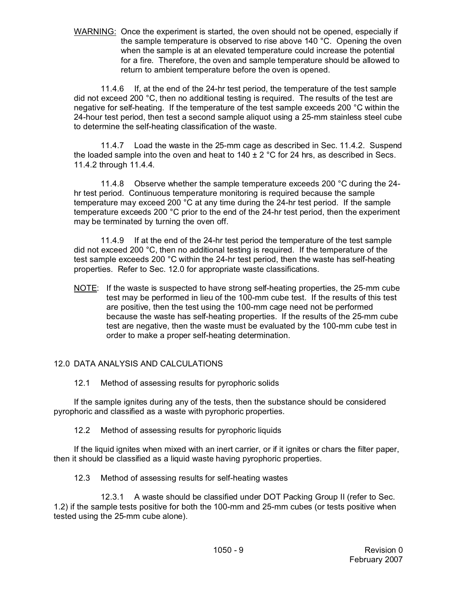WARNING: Once the experiment is started, the oven should not be opened, especially if the sample temperature is observed to rise above 140 °C. Opening the oven when the sample is at an elevated temperature could increase the potential for a fire. Therefore, the oven and sample temperature should be allowed to return to ambient temperature before the oven is opened.

11.4.6 If, at the end of the 24-hr test period, the temperature of the test sample did not exceed 200 °C, then no additional testing is required. The results of the test are negative for self-heating. If the temperature of the test sample exceeds 200 °C within the 24-hour test period, then test a second sample aliquot using a 25-mm stainless steel cube to determine the self-heating classification of the waste.

11.4.7 Load the waste in the 25-mm cage as described in Sec. 11.4.2. Suspend the loaded sample into the oven and heat to  $140 \pm 2$  °C for 24 hrs, as described in Secs. 11.4.2 through 11.4.4.

11.4.8 Observe whether the sample temperature exceeds 200 °C during the 24 hr test period. Continuous temperature monitoring is required because the sample temperature may exceed 200 °C at any time during the 24-hr test period. If the sample temperature exceeds 200 °C prior to the end of the 24-hr test period, then the experiment may be terminated by turning the oven off.

11.4.9 If at the end of the 24-hr test period the temperature of the test sample did not exceed 200 °C, then no additional testing is required. If the temperature of the test sample exceeds 200 °C within the 24-hr test period, then the waste has self-heating properties. Refer to Sec. 12.0 for appropriate waste classifications.

NOTE: If the waste is suspected to have strong self-heating properties, the 25-mm cube test may be performed in lieu of the 100-mm cube test. If the results of this test are positive, then the test using the 100-mm cage need not be performed because the waste has self-heating properties. If the results of the 25-mm cube test are negative, then the waste must be evaluated by the 100-mm cube test in order to make a proper self-heating determination.

## 12.0 DATA ANALYSIS AND CALCULATIONS

12.1 Method of assessing results for pyrophoric solids

If the sample ignites during any of the tests, then the substance should be considered pyrophoric and classified as a waste with pyrophoric properties.

12.2 Method of assessing results for pyrophoric liquids

If the liquid ignites when mixed with an inert carrier, or if it ignites or chars the filter paper, then it should be classified as a liquid waste having pyrophoric properties.

12.3 Method of assessing results for self-heating wastes

12.3.1 A waste should be classified under DOT Packing Group II (refer to Sec. 1.2) if the sample tests positive for both the 100-mm and 25-mm cubes (or tests positive when tested using the 25-mm cube alone).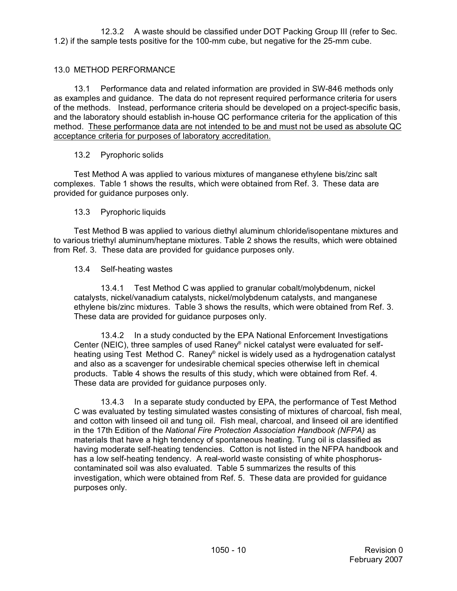12.3.2 A waste should be classified under DOT Packing Group III (refer to Sec. 1.2) if the sample tests positive for the 100-mm cube, but negative for the 25-mm cube.

## 13.0 METHOD PERFORMANCE

13.1 Performance data and related information are provided in SW-846 methods only as examples and guidance. The data do not represent required performance criteria for users of the methods. Instead, performance criteria should be developed on a project-specific basis, and the laboratory should establish in-house QC performance criteria for the application of this method. These performance data are not intended to be and must not be used as absolute QC acceptance criteria for purposes of laboratory accreditation.

## 13.2 Pyrophoric solids

Test Method A was applied to various mixtures of manganese ethylene bis/zinc salt complexes. Table 1 shows the results, which were obtained from Ref. 3. These data are provided for guidance purposes only.

## 13.3 Pyrophoric liquids

Test Method B was applied to various diethyl aluminum chloride/isopentane mixtures and to various triethyl aluminum/heptane mixtures. Table 2 shows the results, which were obtained from Ref. 3. These data are provided for guidance purposes only.

## 13.4 Self-heating wastes

13.4.1 Test Method C was applied to granular cobalt/molybdenum, nickel catalysts, nickel/vanadium catalysts, nickel/molybdenum catalysts, and manganese ethylene bis/zinc mixtures. Table 3 shows the results, which were obtained from Ref. 3. These data are provided for guidance purposes only.

13.4.2 In a study conducted by the EPA National Enforcement Investigations Center (NEIC), three samples of used Raney® nickel catalyst were evaluated for selfheating using Test Method C. Raney® nickel is widely used as a hydrogenation catalyst and also as a scavenger for undesirable chemical species otherwise left in chemical products. Table 4 shows the results of this study, which were obtained from Ref. 4. These data are provided for guidance purposes only.

13.4.3 In a separate study conducted by EPA, the performance of Test Method C was evaluated by testing simulated wastes consisting of mixtures of charcoal, fish meal, and cotton with linseed oil and tung oil. Fish meal, charcoal, and linseed oil are identified in the 17th Edition of the *National Fire Protection Association Handbook (NFPA)* as materials that have a high tendency of spontaneous heating. Tung oil is classified as having moderate self-heating tendencies. Cotton is not listed in the NFPA handbook and has a low self-heating tendency. A real-world waste consisting of white phosphoruscontaminated soil was also evaluated. Table 5 summarizes the results of this investigation, which were obtained from Ref. 5. These data are provided for guidance purposes only.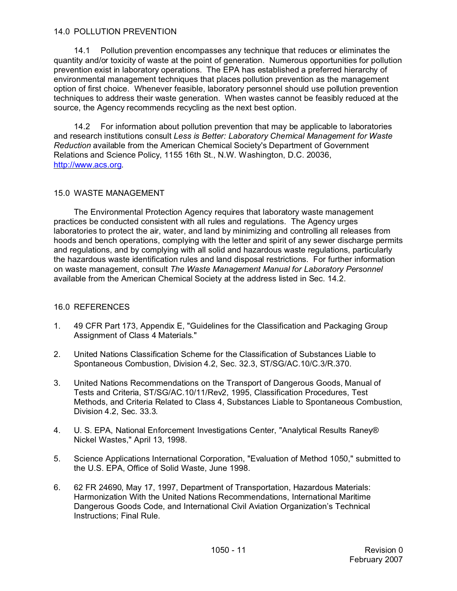#### 14.0 POLLUTION PREVENTION

14.1 Pollution prevention encompasses any technique that reduces or eliminates the quantity and/or toxicity of waste at the point of generation. Numerous opportunities for pollution prevention exist in laboratory operations. The EPA has established a preferred hierarchy of environmental management techniques that places pollution prevention as the management option of first choice. Whenever feasible, laboratory personnel should use pollution prevention techniques to address their waste generation. When wastes cannot be feasibly reduced at the source, the Agency recommends recycling as the next best option.

14.2 For information about pollution prevention that may be applicable to laboratories and research institutions consult *Less is Better: Laboratory Chemical Management for Waste Reduction* available from the American Chemical Society's Department of Government Relations and Science Policy, 1155 16th St., N.W. Washington, D.C. 20036, [http://www.acs.org](http://www.ACS.org).

#### 15.0 WASTE MANAGEMENT

The Environmental Protection Agency requires that laboratory waste management practices be conducted consistent with all rules and regulations. The Agency urges laboratories to protect the air, water, and land by minimizing and controlling all releases from hoods and bench operations, complying with the letter and spirit of any sewer discharge permits and regulations, and by complying with all solid and hazardous waste regulations, particularly the hazardous waste identification rules and land disposal restrictions. For further information on waste management, consult *The Waste Management Manual for Laboratory Personnel* available from the American Chemical Society at the address listed in Sec. 14.2.

#### 16.0 REFERENCES

- 1. 49 CFR Part 173, Appendix E, "Guidelines for the Classification and Packaging Group Assignment of Class 4 Materials."
- 2. United Nations Classification Scheme for the Classification of Substances Liable to Spontaneous Combustion, Division 4.2, Sec. 32.3, ST/SG/AC.10/C.3/R.370.
- 3. United Nations Recommendations on the Transport of Dangerous Goods, Manual of Tests and Criteria, ST/SG/AC.10/11/Rev2, 1995, Classification Procedures, Test Methods, and Criteria Related to Class 4, Substances Liable to Spontaneous Combustion, Division 4.2, Sec. 33.3.
- 4. U. S. EPA, National Enforcement Investigations Center, "Analytical Results Raney® Nickel Wastes," April 13, 1998.
- 5. Science Applications International Corporation, "Evaluation of Method 1050," submitted to the U.S. EPA, Office of Solid Waste, June 1998.
- 6. 62 FR 24690, May 17, 1997, Department of Transportation, Hazardous Materials: Harmonization With the United Nations Recommendations, International Maritime Dangerous Goods Code, and International Civil Aviation Organization's Technical Instructions; Final Rule.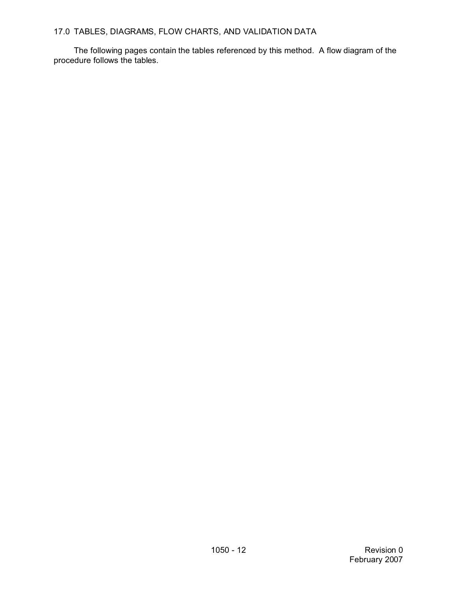## 17.0 TABLES, DIAGRAMS, FLOW CHARTS, AND VALIDATION DATA

The following pages contain the tables referenced by this method. A flow diagram of the procedure follows the tables.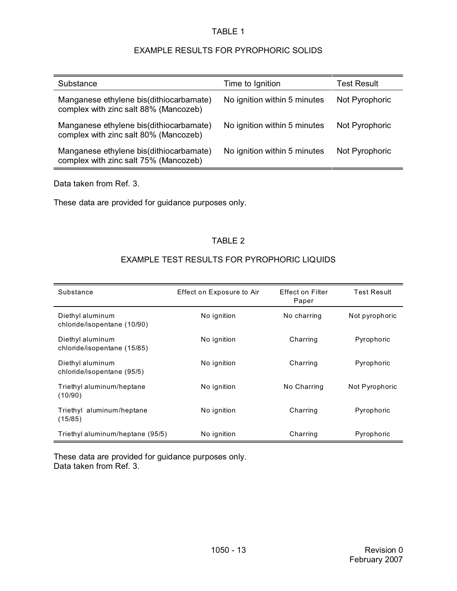## EXAMPLE RESULTS FOR PYROPHORIC SOLIDS

| Substance                                                                        | Time to Ignition             | <b>Test Result</b> |
|----------------------------------------------------------------------------------|------------------------------|--------------------|
| Manganese ethylene bis(dithiocarbamate)<br>complex with zinc salt 88% (Mancozeb) | No ignition within 5 minutes | Not Pyrophoric     |
| Manganese ethylene bis(dithiocarbamate)<br>complex with zinc salt 80% (Mancozeb) | No ignition within 5 minutes | Not Pyrophoric     |
| Manganese ethylene bis(dithiocarbamate)<br>complex with zinc salt 75% (Mancozeb) | No ignition within 5 minutes | Not Pyrophoric     |

Data taken from Ref. 3.

These data are provided for guidance purposes only.

### TABLE 2

## EXAMPLE TEST RESULTS FOR PYROPHORIC LIQUIDS

| Substance                                       | Effect on Exposure to Air | <b>Effect on Filter</b><br>Paper | <b>Test Result</b> |
|-------------------------------------------------|---------------------------|----------------------------------|--------------------|
| Diethyl aluminum<br>chloride/isopentane (10/90) | No ignition               | No charring                      | Not pyrophoric     |
| Diethyl aluminum<br>chloride/isopentane (15/85) | No ignition               | Charring                         | Pyrophoric         |
| Diethyl aluminum<br>chloride/isopentane (95/5)  | No ignition               | Charring                         | Pyrophoric         |
| Triethyl aluminum/heptane<br>(10/90)            | No ignition               | No Charring                      | Not Pyrophoric     |
| Triethyl aluminum/heptane<br>(15/85)            | No ignition               | Charring                         | Pyrophoric         |
| Triethyl aluminum/heptane (95/5)                | No ignition               | Charring                         | Pyrophoric         |

These data are provided for guidance purposes only. Data taken from Ref. 3.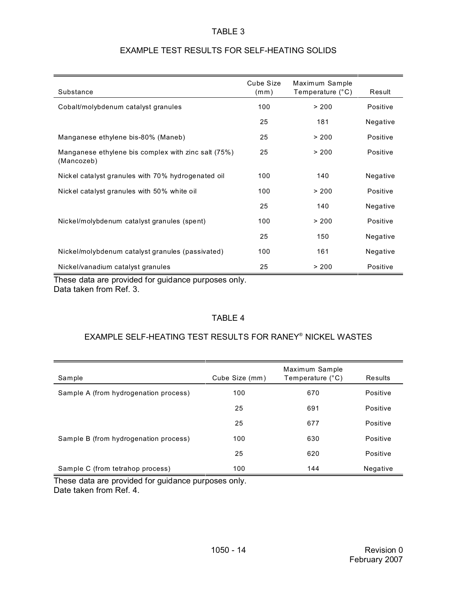| Substance                                                         | Cube Size<br>(mm) | Maximum Sample<br>Temperature (°C) | Result   |
|-------------------------------------------------------------------|-------------------|------------------------------------|----------|
| Cobalt/molybdenum catalyst granules                               | 100               | > 200                              | Positive |
|                                                                   | 25                | 181                                | Negative |
| Manganese ethylene bis-80% (Maneb)                                | 25                | > 200                              | Positive |
| Manganese ethylene bis complex with zinc salt (75%)<br>(Mancozeb) | 25                | > 200                              | Positive |
| Nickel catalyst granules with 70% hydrogenated oil                | 100               | 140                                | Negative |
| Nickel catalyst granules with 50% white oil                       | 100               | > 200                              | Positive |
|                                                                   | 25                | 140                                | Negative |
| Nickel/molybdenum catalyst granules (spent)                       | 100               | > 200                              | Positive |
|                                                                   | 25                | 150                                | Negative |
| Nickel/molybdenum catalyst granules (passivated)                  | 100               | 161                                | Negative |
| Nickel/vanadium catalyst granules                                 | 25                | > 200                              | Positive |

## EXAMPLE TEST RESULTS FOR SELF-HEATING SOLIDS

These data are provided for guidance purposes only. Data taken from Ref. 3.

# TABLE 4

#### EXAMPLE SELF-HEATING TEST RESULTS FOR RANEY® NICKEL WASTES

| Sample                                | Cube Size (mm) | Maximum Sample<br>Temperature (°C) | Results  |
|---------------------------------------|----------------|------------------------------------|----------|
| Sample A (from hydrogenation process) | 100            | 670                                | Positive |
|                                       | 25             | 691                                | Positive |
|                                       | 25             | 677                                | Positive |
| Sample B (from hydrogenation process) | 100            | 630                                | Positive |
|                                       | 25             | 620                                | Positive |
| Sample C (from tetrahop process)      | 100            | 144                                | Negative |

These data are provided for guidance purposes only. Date taken from Ref. 4.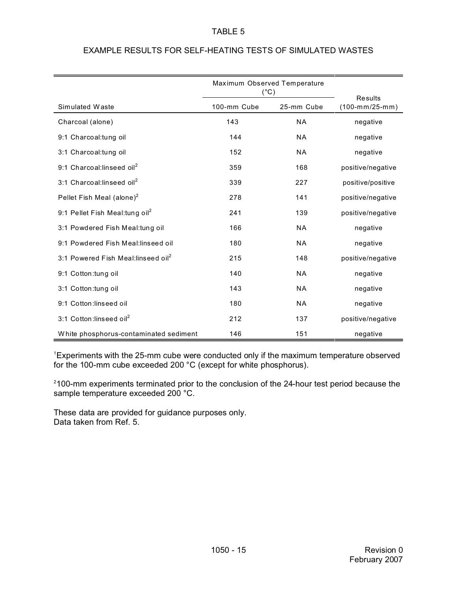|                                                | Maximum Observed Temperature<br>$(^{\circ}C)$ |            |                                                  |
|------------------------------------------------|-----------------------------------------------|------------|--------------------------------------------------|
| Simulated Waste                                | 100-mm Cube                                   | 25-mm Cube | <b>Results</b><br>$(100\text{-}mm/25\text{-}mm)$ |
| Charcoal (alone)                               | 143                                           | <b>NA</b>  | negative                                         |
| 9:1 Charcoal:tung oil                          | 144                                           | <b>NA</b>  | negative                                         |
| 3:1 Charcoal:tung oil                          | 152                                           | <b>NA</b>  | negative                                         |
| 9:1 Charcoal:linseed oil <sup>2</sup>          | 359                                           | 168        | positive/negative                                |
| 3:1 Charcoal:linseed oil <sup>2</sup>          | 339                                           | 227        | positive/positive                                |
| Pellet Fish Meal (alone) <sup>2</sup>          | 278                                           | 141        | positive/negative                                |
| 9:1 Pellet Fish Meal: tung oil <sup>2</sup>    | 241                                           | 139        | positive/negative                                |
| 3:1 Powdered Fish Meal:tung oil                | 166                                           | <b>NA</b>  | negative                                         |
| 9:1 Powdered Fish Meal:linseed oil             | 180                                           | <b>NA</b>  | negative                                         |
| 3:1 Powered Fish Meal:linseed oil <sup>2</sup> | 215                                           | 148        | positive/negative                                |
| 9:1 Cotton: tung oil                           | 140                                           | <b>NA</b>  | negative                                         |
| 3:1 Cotton: tung oil                           | 143                                           | <b>NA</b>  | negative                                         |
| 9:1 Cotton:linseed oil                         | 180                                           | <b>NA</b>  | negative                                         |
| 3:1 Cotton:linseed oil <sup>2</sup>            | 212                                           | 137        | positive/negative                                |
| White phosphorus-contaminated sediment         | 146                                           | 151        | negative                                         |

# EXAMPLE RESULTS FOR SELF-HEATING TESTS OF SIMULATED WASTES

<sup>1</sup>Experiments with the 25-mm cube were conducted only if the maximum temperature observed for the 100-mm cube exceeded 200 °C (except for white phosphorus).

<sup>2</sup>100-mm experiments terminated prior to the conclusion of the 24-hour test period because the sample temperature exceeded 200 °C.

These data are provided for guidance purposes only. Data taken from Ref. 5.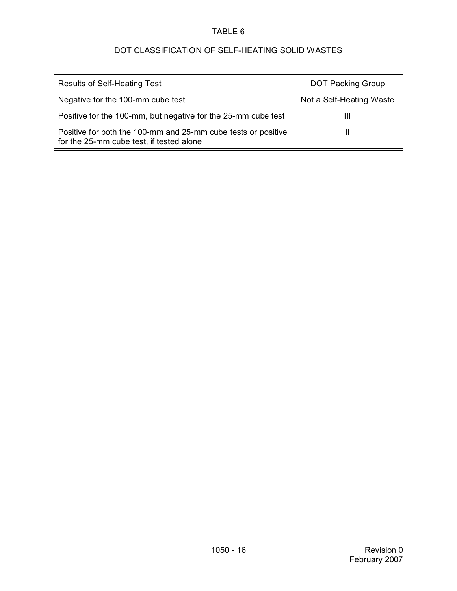# DOT CLASSIFICATION OF SELF-HEATING SOLID WASTES

| <b>Results of Self-Heating Test</b>                                                                       | <b>DOT Packing Group</b> |
|-----------------------------------------------------------------------------------------------------------|--------------------------|
| Negative for the 100-mm cube test                                                                         | Not a Self-Heating Waste |
| Positive for the 100-mm, but negative for the 25-mm cube test                                             | Ш                        |
| Positive for both the 100-mm and 25-mm cube tests or positive<br>for the 25-mm cube test, if tested alone |                          |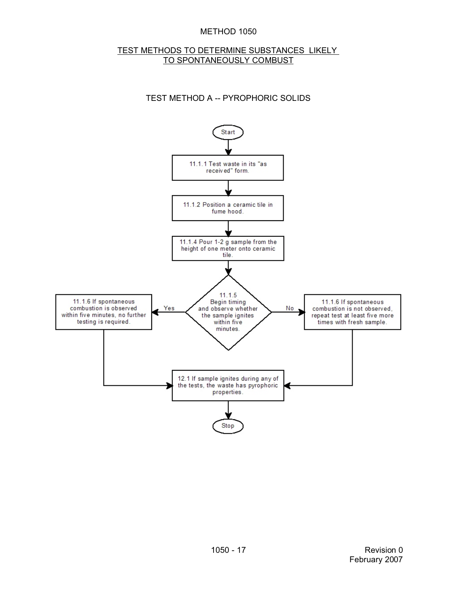#### METHOD 1050

#### TEST METHODS TO DETERMINE SUBSTANCES LIKELY TO SPONTANEOUSLY COMBUST

## TEST METHOD A -- PYROPHORIC SOLIDS

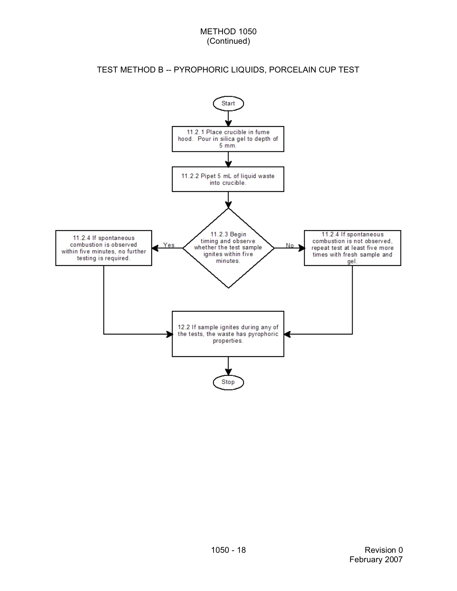## TEST METHOD B -- PYROPHORIC LIQUIDS, PORCELAIN CUP TEST

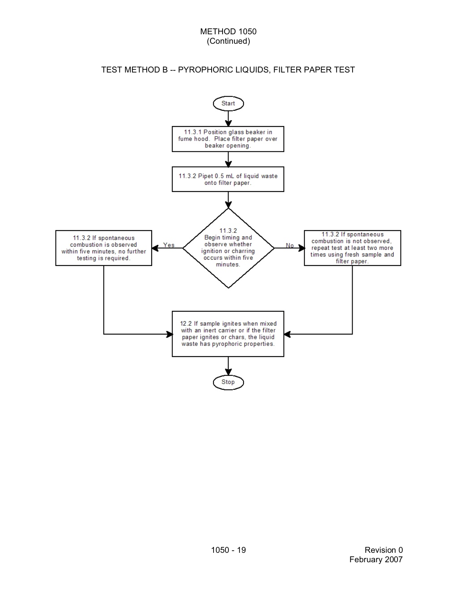# TEST METHOD B -- PYROPHORIC LIQUIDS, FILTER PAPER TEST